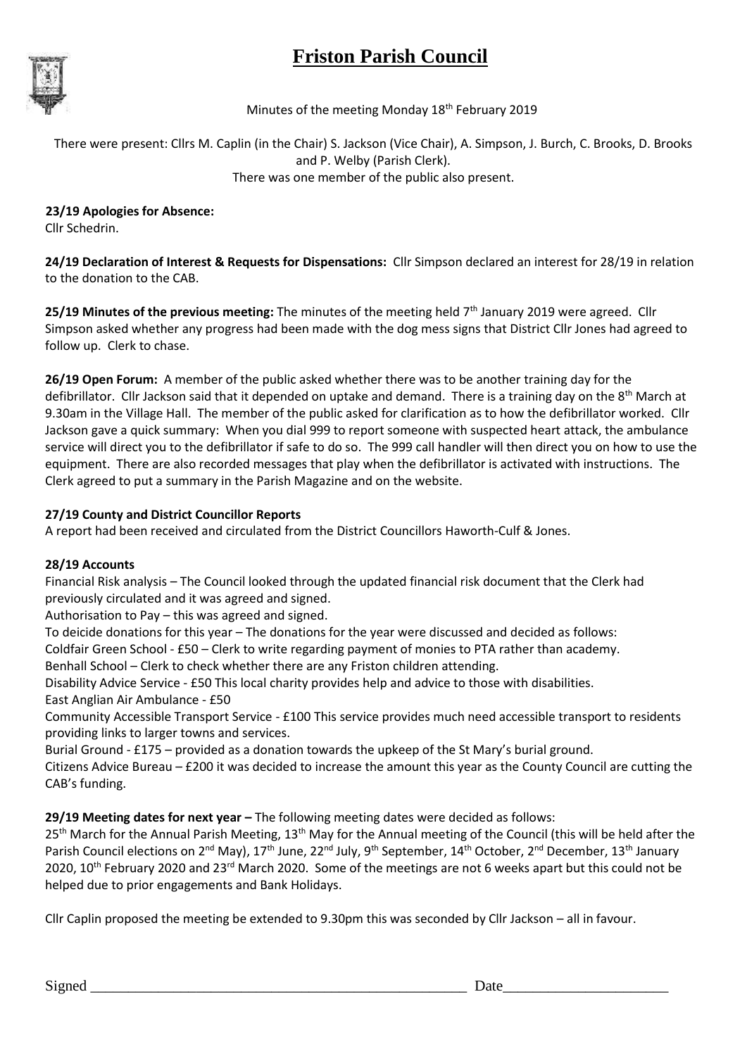# **Friston Parish Council**



Minutes of the meeting Monday  $18<sup>th</sup>$  February 2019

There were present: Cllrs M. Caplin (in the Chair) S. Jackson (Vice Chair), A. Simpson, J. Burch, C. Brooks, D. Brooks and P. Welby (Parish Clerk). There was one member of the public also present.

 **23/19 Apologies for Absence:** Cllr Schedrin.

**24/19 Declaration of Interest & Requests for Dispensations:** Cllr Simpson declared an interest for 28/19 in relation to the donation to the CAB.

25/19 Minutes of the previous meeting: The minutes of the meeting held 7<sup>th</sup> January 2019 were agreed. Cllr Simpson asked whether any progress had been made with the dog mess signs that District Cllr Jones had agreed to follow up. Clerk to chase.

**26/19 Open Forum:** A member of the public asked whether there was to be another training day for the defibrillator. Cllr Jackson said that it depended on uptake and demand. There is a training day on the 8<sup>th</sup> March at 9.30am in the Village Hall. The member of the public asked for clarification as to how the defibrillator worked. Cllr Jackson gave a quick summary: When you dial 999 to report someone with suspected heart attack, the ambulance service will direct you to the defibrillator if safe to do so. The 999 call handler will then direct you on how to use the equipment. There are also recorded messages that play when the defibrillator is activated with instructions. The Clerk agreed to put a summary in the Parish Magazine and on the website.

### **27/19 County and District Councillor Reports**

A report had been received and circulated from the District Councillors Haworth-Culf & Jones.

#### **28/19 Accounts**

Financial Risk analysis – The Council looked through the updated financial risk document that the Clerk had previously circulated and it was agreed and signed.

Authorisation to Pay – this was agreed and signed.

To deicide donations for this year – The donations for the year were discussed and decided as follows:

Coldfair Green School - £50 – Clerk to write regarding payment of monies to PTA rather than academy.

Benhall School – Clerk to check whether there are any Friston children attending.

Disability Advice Service - £50 This local charity provides help and advice to those with disabilities. East Anglian Air Ambulance - £50

Community Accessible Transport Service - £100 This service provides much need accessible transport to residents providing links to larger towns and services.

Burial Ground - £175 – provided as a donation towards the upkeep of the St Mary's burial ground.

Citizens Advice Bureau – £200 it was decided to increase the amount this year as the County Council are cutting the CAB's funding.

**29/19 Meeting dates for next year -** The following meeting dates were decided as follows:

 $25<sup>th</sup>$  March for the Annual Parish Meeting,  $13<sup>th</sup>$  May for the Annual meeting of the Council (this will be held after the Parish Council elections on 2<sup>nd</sup> May), 17<sup>th</sup> June, 22<sup>nd</sup> July, 9<sup>th</sup> September, 14<sup>th</sup> October, 2<sup>nd</sup> December, 13<sup>th</sup> January 2020, 10<sup>th</sup> February 2020 and 23<sup>rd</sup> March 2020. Some of the meetings are not 6 weeks apart but this could not be helped due to prior engagements and Bank Holidays.

Cllr Caplin proposed the meeting be extended to 9.30pm this was seconded by Cllr Jackson – all in favour.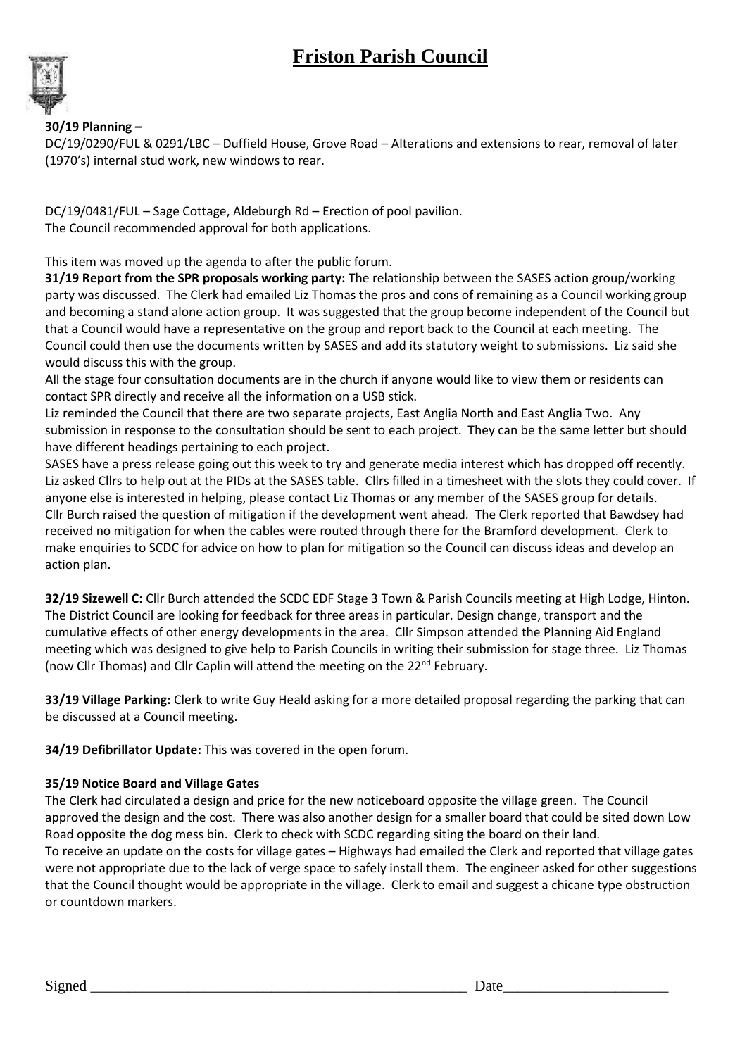## **Friston Parish Council**



### **30/19 Planning –**

DC/19/0290/FUL & 0291/LBC – Duffield House, Grove Road – Alterations and extensions to rear, removal of later (1970's) internal stud work, new windows to rear.

DC/19/0481/FUL – Sage Cottage, Aldeburgh Rd – Erection of pool pavilion. The Council recommended approval for both applications.

This item was moved up the agenda to after the public forum.

**31/19 Report from the SPR proposals working party:** The relationship between the SASES action group/working party was discussed. The Clerk had emailed Liz Thomas the pros and cons of remaining as a Council working group and becoming a stand alone action group. It was suggested that the group become independent of the Council but that a Council would have a representative on the group and report back to the Council at each meeting. The Council could then use the documents written by SASES and add its statutory weight to submissions. Liz said she would discuss this with the group.

All the stage four consultation documents are in the church if anyone would like to view them or residents can contact SPR directly and receive all the information on a USB stick.

Liz reminded the Council that there are two separate projects, East Anglia North and East Anglia Two. Any submission in response to the consultation should be sent to each project. They can be the same letter but should have different headings pertaining to each project.

SASES have a press release going out this week to try and generate media interest which has dropped off recently. Liz asked Cllrs to help out at the PIDs at the SASES table. Cllrs filled in a timesheet with the slots they could cover. If anyone else is interested in helping, please contact Liz Thomas or any member of the SASES group for details. Cllr Burch raised the question of mitigation if the development went ahead. The Clerk reported that Bawdsey had received no mitigation for when the cables were routed through there for the Bramford development. Clerk to make enquiries to SCDC for advice on how to plan for mitigation so the Council can discuss ideas and develop an action plan.

**32/19 Sizewell C:** Cllr Burch attended the SCDC EDF Stage 3 Town & Parish Councils meeting at High Lodge, Hinton. The District Council are looking for feedback for three areas in particular. Design change, transport and the cumulative effects of other energy developments in the area. Cllr Simpson attended the Planning Aid England meeting which was designed to give help to Parish Councils in writing their submission for stage three. Liz Thomas (now Cllr Thomas) and Cllr Caplin will attend the meeting on the 22nd February.

**33/19 Village Parking:** Clerk to write Guy Heald asking for a more detailed proposal regarding the parking that can be discussed at a Council meeting.

**34/19 Defibrillator Update:** This was covered in the open forum.

#### **35/19 Notice Board and Village Gates**

The Clerk had circulated a design and price for the new noticeboard opposite the village green. The Council approved the design and the cost. There was also another design for a smaller board that could be sited down Low Road opposite the dog mess bin. Clerk to check with SCDC regarding siting the board on their land. To receive an update on the costs for village gates – Highways had emailed the Clerk and reported that village gates were not appropriate due to the lack of verge space to safely install them. The engineer asked for other suggestions that the Council thought would be appropriate in the village. Clerk to email and suggest a chicane type obstruction or countdown markers.